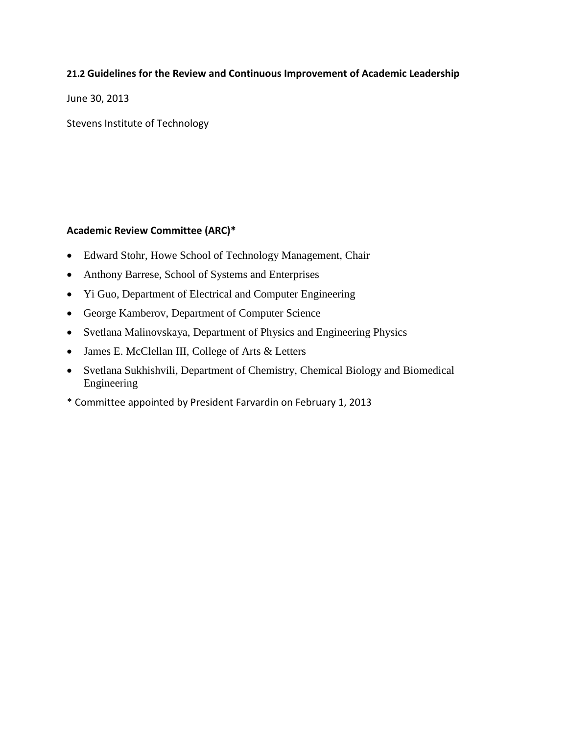## **21.2 Guidelines for the Review and Continuous Improvement of Academic Leadership**

June 30, 2013

Stevens Institute of Technology

### **Academic Review Committee (ARC)\***

- Edward Stohr, Howe School of Technology Management, Chair
- Anthony Barrese, School of Systems and Enterprises
- Yi Guo, Department of Electrical and Computer Engineering
- George Kamberov, Department of Computer Science
- Svetlana Malinovskaya, Department of Physics and Engineering Physics
- James E. McClellan III, College of Arts & Letters
- Svetlana Sukhishvili, Department of Chemistry, Chemical Biology and Biomedical Engineering
- \* Committee appointed by President Farvardin on February 1, 2013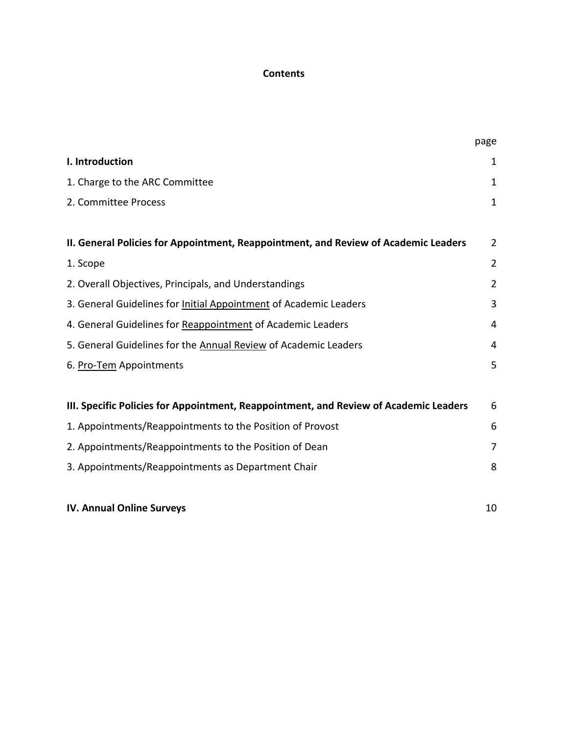# **Contents**

|                                                                                       | page           |
|---------------------------------------------------------------------------------------|----------------|
| I. Introduction                                                                       | 1              |
| 1. Charge to the ARC Committee                                                        | $\mathbf{1}$   |
| 2. Committee Process                                                                  | $\mathbf{1}$   |
| II. General Policies for Appointment, Reappointment, and Review of Academic Leaders   | $\overline{2}$ |
| 1. Scope                                                                              | $\overline{2}$ |
| 2. Overall Objectives, Principals, and Understandings                                 | $\overline{2}$ |
| 3. General Guidelines for Initial Appointment of Academic Leaders                     | 3              |
| 4. General Guidelines for Reappointment of Academic Leaders                           | 4              |
| 5. General Guidelines for the Annual Review of Academic Leaders                       | 4              |
| 6. Pro-Tem Appointments                                                               | 5              |
| III. Specific Policies for Appointment, Reappointment, and Review of Academic Leaders | 6              |
| 1. Appointments/Reappointments to the Position of Provost                             | 6              |
| 2. Appointments/Reappointments to the Position of Dean                                | $\overline{7}$ |
| 3. Appointments/Reappointments as Department Chair                                    | 8              |
| <b>IV. Annual Online Surveys</b>                                                      | 10             |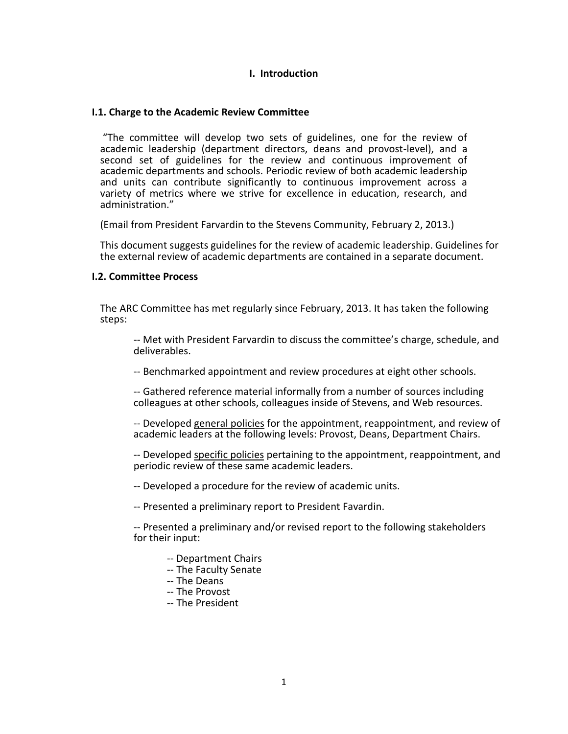#### **I. Introduction**

#### **I.1. Charge to the Academic Review Committee**

"The committee will develop two sets of guidelines, one for the review of academic leadership (department directors, deans and provost-level), and a second set of guidelines for the review and continuous improvement of academic departments and schools. Periodic review of both academic leadership and units can contribute significantly to continuous improvement across a variety of metrics where we strive for excellence in education, research, and administration."

(Email from President Farvardin to the Stevens Community, February 2, 2013.)

This document suggests guidelines for the review of academic leadership. Guidelines for the external review of academic departments are contained in a separate document.

#### **I.2. Committee Process**

The ARC Committee has met regularly since February, 2013. It has taken the following steps:

-- Met with President Farvardin to discuss the committee's charge, schedule, and deliverables.

-- Benchmarked appointment and review procedures at eight other schools.

-- Gathered reference material informally from a number of sources including colleagues at other schools, colleagues inside of Stevens, and Web resources.

-- Developed general policies for the appointment, reappointment, and review of academic leaders at the following levels: Provost, Deans, Department Chairs.

-- Developed specific policies pertaining to the appointment, reappointment, and periodic review of these same academic leaders.

-- Developed a procedure for the review of academic units.

-- Presented a preliminary report to President Favardin.

-- Presented a preliminary and/or revised report to the following stakeholders for their input:

- -- Department Chairs
- -- The Faculty Senate
- -- The Deans
- -- The Provost
- -- The President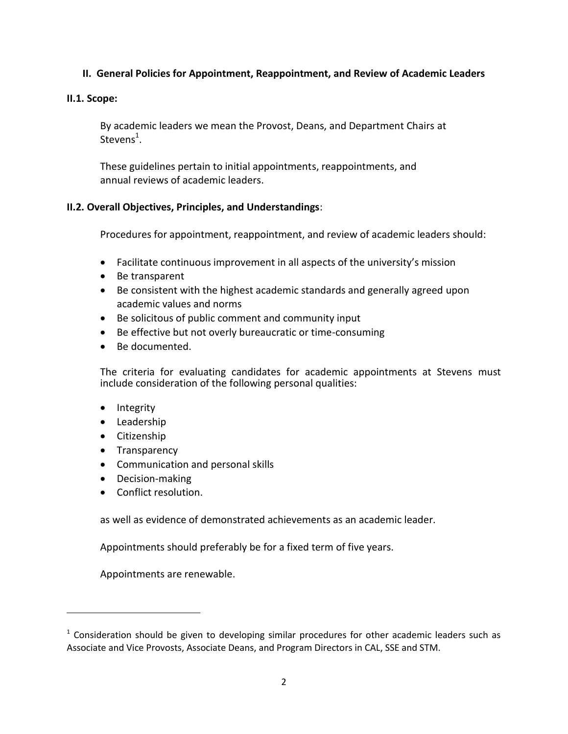# **II. General Policies for Appointment, Reappointment, and Review of Academic Leaders**

### **II.1. Scope:**

By academic leaders we mean the Provost, Deans, and Department Chairs at Stevens<sup>1</sup>.

These guidelines pertain to initial appointments, reappointments, and annual reviews of academic leaders.

### **II.2. Overall Objectives, Principles, and Understandings**:

Procedures for appointment, reappointment, and review of academic leaders should:

- Facilitate continuous improvement in all aspects of the university's mission
- Be transparent
- Be consistent with the highest academic standards and generally agreed upon academic values and norms
- Be solicitous of public comment and community input
- Be effective but not overly bureaucratic or time-consuming
- Be documented.

The criteria for evaluating candidates for academic appointments at Stevens must include consideration of the following personal qualities:

• Integrity

 $\overline{\phantom{a}}$ 

- Leadership
- **•** Citizenship
- Transparency
- Communication and personal skills
- Decision-making
- Conflict resolution.

as well as evidence of demonstrated achievements as an academic leader.

Appointments should preferably be for a fixed term of five years.

Appointments are renewable.

 $1$  Consideration should be given to developing similar procedures for other academic leaders such as Associate and Vice Provosts, Associate Deans, and Program Directors in CAL, SSE and STM.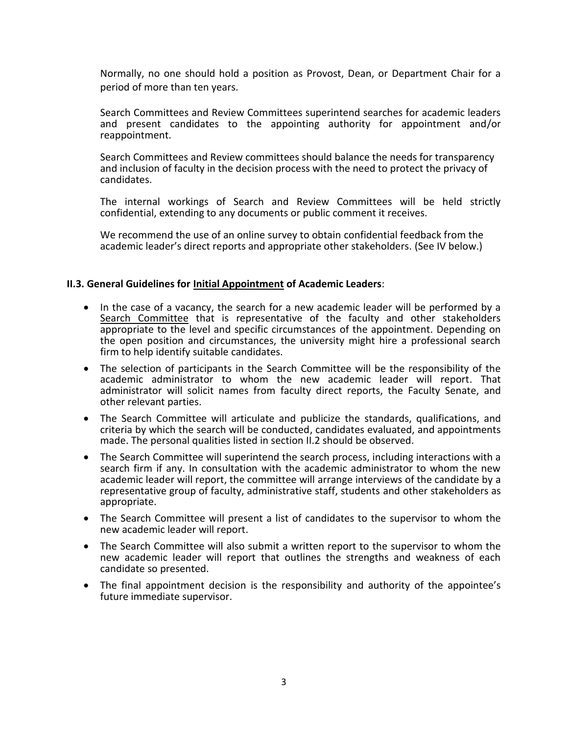Normally, no one should hold a position as Provost, Dean, or Department Chair for a period of more than ten years.

Search Committees and Review Committees superintend searches for academic leaders and present candidates to the appointing authority for appointment and/or reappointment.

Search Committees and Review committees should balance the needs for transparency and inclusion of faculty in the decision process with the need to protect the privacy of candidates.

The internal workings of Search and Review Committees will be held strictly confidential, extending to any documents or public comment it receives.

We recommend the use of an online survey to obtain confidential feedback from the academic leader's direct reports and appropriate other stakeholders. (See IV below.)

#### **II.3. General Guidelines for Initial Appointment of Academic Leaders**:

- In the case of a vacancy, the search for a new academic leader will be performed by a Search Committee that is representative of the faculty and other stakeholders appropriate to the level and specific circumstances of the appointment. Depending on the open position and circumstances, the university might hire a professional search firm to help identify suitable candidates.
- The selection of participants in the Search Committee will be the responsibility of the academic administrator to whom the new academic leader will report. That administrator will solicit names from faculty direct reports, the Faculty Senate, and other relevant parties.
- The Search Committee will articulate and publicize the standards, qualifications, and criteria by which the search will be conducted, candidates evaluated, and appointments made. The personal qualities listed in section II.2 should be observed.
- The Search Committee will superintend the search process, including interactions with a search firm if any. In consultation with the academic administrator to whom the new academic leader will report, the committee will arrange interviews of the candidate by a representative group of faculty, administrative staff, students and other stakeholders as appropriate.
- The Search Committee will present a list of candidates to the supervisor to whom the new academic leader will report.
- The Search Committee will also submit a written report to the supervisor to whom the new academic leader will report that outlines the strengths and weakness of each candidate so presented.
- The final appointment decision is the responsibility and authority of the appointee's future immediate supervisor.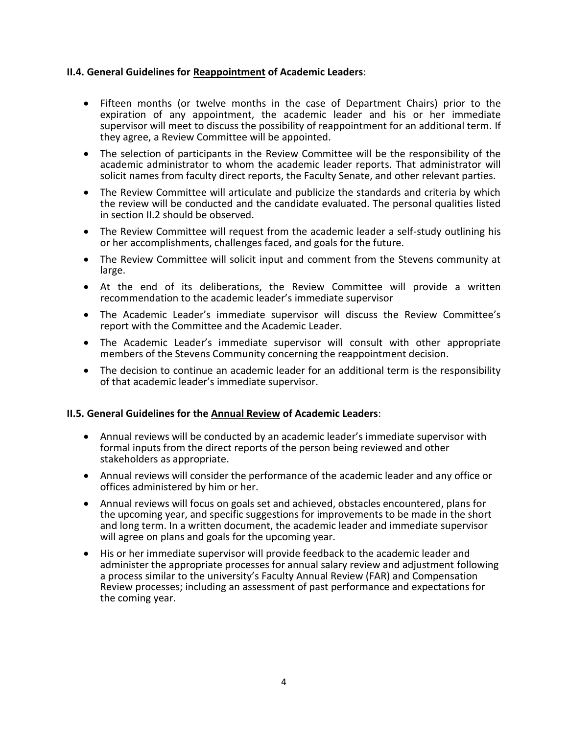### **II.4. General Guidelines for Reappointment of Academic Leaders**:

- Fifteen months (or twelve months in the case of Department Chairs) prior to the expiration of any appointment, the academic leader and his or her immediate supervisor will meet to discuss the possibility of reappointment for an additional term. If they agree, a Review Committee will be appointed.
- The selection of participants in the Review Committee will be the responsibility of the academic administrator to whom the academic leader reports. That administrator will solicit names from faculty direct reports, the Faculty Senate, and other relevant parties.
- The Review Committee will articulate and publicize the standards and criteria by which the review will be conducted and the candidate evaluated. The personal qualities listed in section II.2 should be observed.
- The Review Committee will request from the academic leader a self-study outlining his or her accomplishments, challenges faced, and goals for the future.
- The Review Committee will solicit input and comment from the Stevens community at large.
- At the end of its deliberations, the Review Committee will provide a written recommendation to the academic leader's immediate supervisor
- The Academic Leader's immediate supervisor will discuss the Review Committee's report with the Committee and the Academic Leader.
- The Academic Leader's immediate supervisor will consult with other appropriate members of the Stevens Community concerning the reappointment decision.
- The decision to continue an academic leader for an additional term is the responsibility of that academic leader's immediate supervisor.

### **II.5. General Guidelines for the Annual Review of Academic Leaders**:

- Annual reviews will be conducted by an academic leader's immediate supervisor with formal inputs from the direct reports of the person being reviewed and other stakeholders as appropriate.
- Annual reviews will consider the performance of the academic leader and any office or offices administered by him or her.
- Annual reviews will focus on goals set and achieved, obstacles encountered, plans for the upcoming year, and specific suggestions for improvements to be made in the short and long term. In a written document, the academic leader and immediate supervisor will agree on plans and goals for the upcoming year.
- His or her immediate supervisor will provide feedback to the academic leader and administer the appropriate processes for annual salary review and adjustment following a process similar to the university's Faculty Annual Review (FAR) and Compensation Review processes; including an assessment of past performance and expectations for the coming year.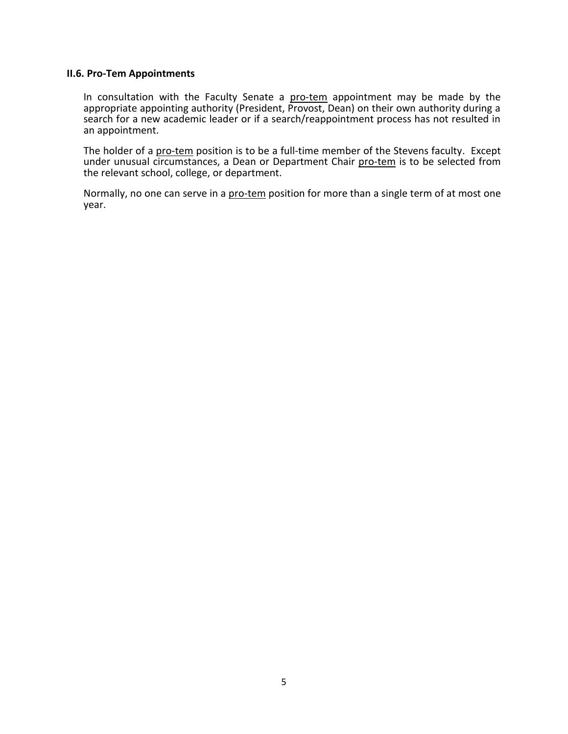#### **II.6. Pro-Tem Appointments**

In consultation with the Faculty Senate a pro-tem appointment may be made by the appropriate appointing authority (President, Provost, Dean) on their own authority during a search for a new academic leader or if a search/reappointment process has not resulted in an appointment.

The holder of a pro-tem position is to be a full-time member of the Stevens faculty. Except under unusual circumstances, a Dean or Department Chair pro-tem is to be selected from the relevant school, college, or department.

Normally, no one can serve in a pro-tem position for more than a single term of at most one year.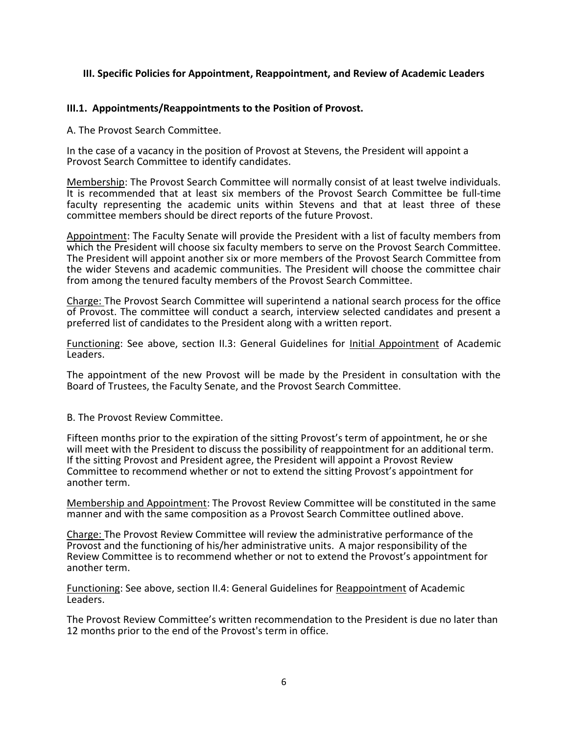### **III. Specific Policies for Appointment, Reappointment, and Review of Academic Leaders**

### **III.1. Appointments/Reappointments to the Position of Provost.**

A. The Provost Search Committee.

In the case of a vacancy in the position of Provost at Stevens, the President will appoint a Provost Search Committee to identify candidates.

Membership: The Provost Search Committee will normally consist of at least twelve individuals. It is recommended that at least six members of the Provost Search Committee be full-time faculty representing the academic units within Stevens and that at least three of these committee members should be direct reports of the future Provost.

Appointment: The Faculty Senate will provide the President with a list of faculty members from which the President will choose six faculty members to serve on the Provost Search Committee. The President will appoint another six or more members of the Provost Search Committee from the wider Stevens and academic communities. The President will choose the committee chair from among the tenured faculty members of the Provost Search Committee.

Charge: The Provost Search Committee will superintend a national search process for the office of Provost. The committee will conduct a search, interview selected candidates and present a preferred list of candidates to the President along with a written report.

Functioning: See above, section II.3: General Guidelines for Initial Appointment of Academic Leaders.

The appointment of the new Provost will be made by the President in consultation with the Board of Trustees, the Faculty Senate, and the Provost Search Committee.

B. The Provost Review Committee.

Fifteen months prior to the expiration of the sitting Provost's term of appointment, he or she will meet with the President to discuss the possibility of reappointment for an additional term. If the sitting Provost and President agree, the President will appoint a Provost Review Committee to recommend whether or not to extend the sitting Provost's appointment for another term.

Membership and Appointment: The Provost Review Committee will be constituted in the same manner and with the same composition as a Provost Search Committee outlined above.

Charge: The Provost Review Committee will review the administrative performance of the Provost and the functioning of his/her administrative units. A major responsibility of the Review Committee is to recommend whether or not to extend the Provost's appointment for another term.

Functioning: See above, section II.4: General Guidelines for Reappointment of Academic Leaders.

The Provost Review Committee's written recommendation to the President is due no later than 12 months prior to the end of the Provost's term in office.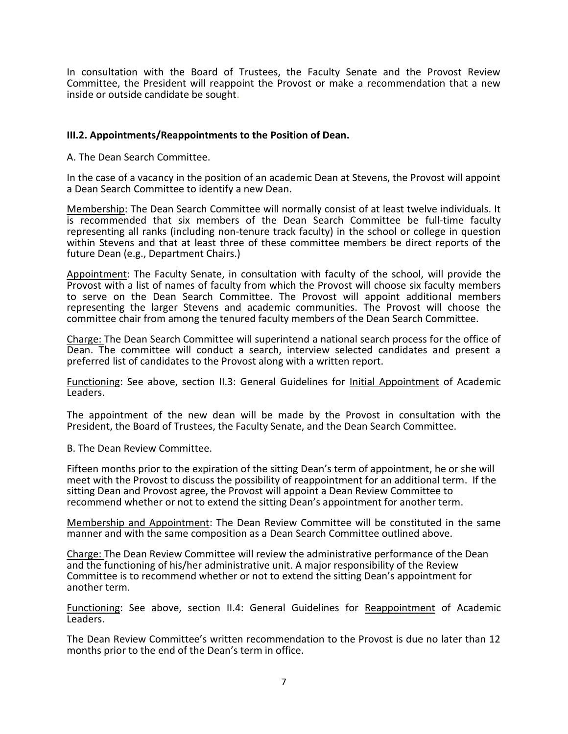In consultation with the Board of Trustees, the Faculty Senate and the Provost Review Committee, the President will reappoint the Provost or make a recommendation that a new inside or outside candidate be sought.

### **III.2. Appointments/Reappointments to the Position of Dean.**

A. The Dean Search Committee.

In the case of a vacancy in the position of an academic Dean at Stevens, the Provost will appoint a Dean Search Committee to identify a new Dean.

Membership: The Dean Search Committee will normally consist of at least twelve individuals. It is recommended that six members of the Dean Search Committee be full-time faculty representing all ranks (including non-tenure track faculty) in the school or college in question within Stevens and that at least three of these committee members be direct reports of the future Dean (e.g., Department Chairs.)

Appointment: The Faculty Senate, in consultation with faculty of the school, will provide the Provost with a list of names of faculty from which the Provost will choose six faculty members to serve on the Dean Search Committee. The Provost will appoint additional members representing the larger Stevens and academic communities. The Provost will choose the committee chair from among the tenured faculty members of the Dean Search Committee. **90**

Charge: The Dean Search Committee will superintend a national search process for the office of **70** Dean. The committee will conduct a search, interview selected candidates and present a **60** preferred list of candidates to the Provost along with a written report. **50 East 80**

Functioning: See above, section II.3: General Guidelines for Initial Appointment of Academic **30** Leaders. **40 North**

The appointment of the new dean will be made by the Provost in consultation with the **0** President, the Board of Trustees, the Faculty Senate, and the Dean Search Committee.

B. The Dean Review Committee.

Fifteen months prior to the expiration of the sitting Dean's term of appointment, he or she will meet with the Provost to discuss the possibility of reappointment for an additional term. If the sitting Dean and Provost agree, the Provost will appoint a Dean Review Committee to recommend whether or not to extend the sitting Dean's appointment for another term.

Membership and Appointment: The Dean Review Committee will be constituted in the same manner and with the same composition as a Dean Search Committee outlined above.

Charge: The Dean Review Committee will review the administrative performance of the Dean and the functioning of his/her administrative unit. A major responsibility of the Review Committee is to recommend whether or not to extend the sitting Dean's appointment for another term.

Functioning: See above, section II.4: General Guidelines for Reappointment of Academic Leaders.

The Dean Review Committee's written recommendation to the Provost is due no later than 12 months prior to the end of the Dean's term in office.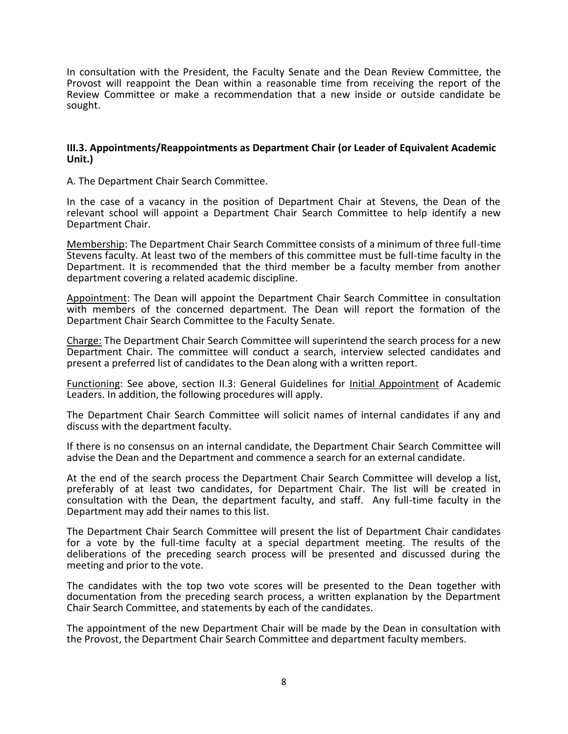In consultation with the President, the Faculty Senate and the Dean Review Committee, the Provost will reappoint the Dean within a reasonable time from receiving the report of the Review Committee or make a recommendation that a new inside or outside candidate be sought.

#### **III.3. Appointments/Reappointments as Department Chair (or Leader of Equivalent Academic Unit.)**

A. The Department Chair Search Committee.

In the case of a vacancy in the position of Department Chair at Stevens, the Dean of the relevant school will appoint a Department Chair Search Committee to help identify a new Department Chair.

Membership: The Department Chair Search Committee consists of a minimum of three full-time Stevens faculty. At least two of the members of this committee must be full-time faculty in the Department. It is recommended that the third member be a faculty member from another department covering a related academic discipline.

Appointment: The Dean will appoint the Department Chair Search Committee in consultation with members of the concerned department. The Dean will report the formation of the Department Chair Search Committee to the Faculty Senate.

Charge: The Department Chair Search Committee will superintend the search process for a new Department Chair. The committee will conduct a search, interview selected candidates and present a preferred list of candidates to the Dean along with a written report.

Functioning: See above, section II.3: General Guidelines for Initial Appointment of Academic Leaders. In addition, the following procedures will apply.

The Department Chair Search Committee will solicit names of internal candidates if any and discuss with the department faculty.

If there is no consensus on an internal candidate, the Department Chair Search Committee will advise the Dean and the Department and commence a search for an external candidate.

At the end of the search process the Department Chair Search Committee will develop a list, preferably of at least two candidates, for Department Chair. The list will be created in consultation with the Dean, the department faculty, and staff. Any full-time faculty in the Department may add their names to this list.

The Department Chair Search Committee will present the list of Department Chair candidates for a vote by the full-time faculty at a special department meeting. The results of the deliberations of the preceding search process will be presented and discussed during the meeting and prior to the vote.

The candidates with the top two vote scores will be presented to the Dean together with documentation from the preceding search process, a written explanation by the Department Chair Search Committee, and statements by each of the candidates.

The appointment of the new Department Chair will be made by the Dean in consultation with the Provost, the Department Chair Search Committee and department faculty members.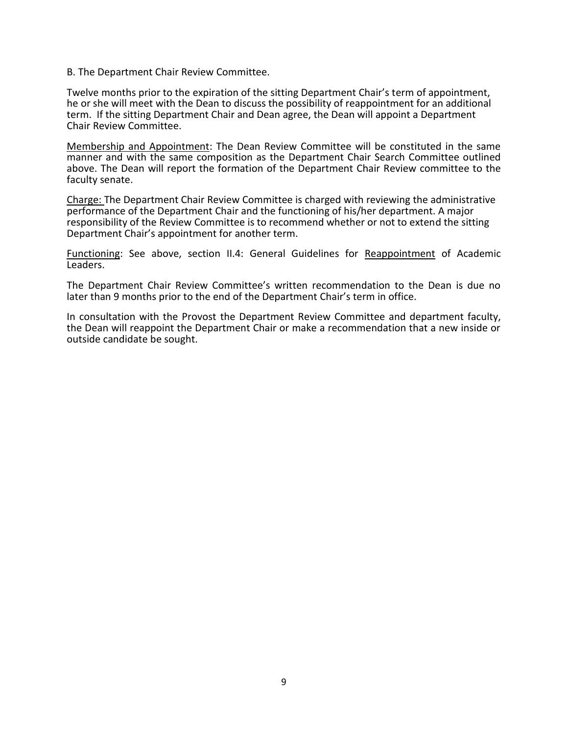#### B. The Department Chair Review Committee.

Twelve months prior to the expiration of the sitting Department Chair's term of appointment, he or she will meet with the Dean to discuss the possibility of reappointment for an additional term. If the sitting Department Chair and Dean agree, the Dean will appoint a Department Chair Review Committee.

Membership and Appointment: The Dean Review Committee will be constituted in the same manner and with the same composition as the Department Chair Search Committee outlined above. The Dean will report the formation of the Department Chair Review committee to the faculty senate.

Charge: The Department Chair Review Committee is charged with reviewing the administrative performance of the Department Chair and the functioning of his/her department. A major responsibility of the Review Committee is to recommend whether or not to extend the sitting Department Chair's appointment for another term.

Functioning: See above, section II.4: General Guidelines for Reappointment of Academic Leaders.

The Department Chair Review Committee's written recommendation to the Dean is due no later than 9 months prior to the end of the Department Chair's term in office.

In consultation with the Provost the Department Review Committee and department faculty, the Dean will reappoint the Department Chair or make a recommendation that a new inside or outside candidate be sought.